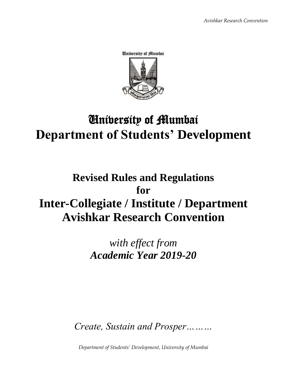

# University of Mumbai **Department of Students' Development**

# **Revised Rules and Regulations for Inter-Collegiate / Institute / Department Avishkar Research Convention**

*with effect from Academic Year 2019-20*

*Create, Sustain and Prosper………*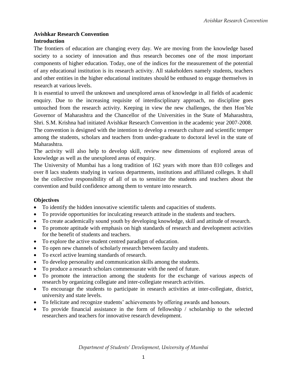#### **Avishkar Research Convention Introduction**

The frontiers of education are changing every day. We are moving from the knowledge based society to a society of innovation and thus research becomes one of the most important components of higher education. Today, one of the indices for the measurement of the potential of any educational institution is its research activity. All stakeholders namely students, teachers and other entities in the higher educational institutes should be enthused to engage themselves in research at various levels.

It is essential to unveil the unknown and unexplored areas of knowledge in all fields of academic enquiry. Due to the increasing requisite of interdisciplinary approach, no discipline goes untouched from the research activity. Keeping in view the new challenges, the then Hon'ble Governor of Maharashtra and the Chancellor of the Universities in the State of Maharashtra, Shri. S.M. Krishna had initiated Avishkar Research Convention in the academic year 2007-2008. The convention is designed with the intention to develop a research culture and scientific temper among the students, scholars and teachers from under-graduate to doctoral level in the state of Maharashtra.

The activity will also help to develop skill, review new dimensions of explored areas of knowledge as well as the unexplored areas of enquiry.

The University of Mumbai has a long tradition of 162 years with more than 810 colleges and over 8 lacs students studying in various departments, institutions and affiliated colleges. It shall be the collective responsibility of all of us to sensitize the students and teachers about the convention and build confidence among them to venture into research.

#### **Objectives**

- To identify the hidden innovative scientific talents and capacities of students.
- To provide opportunities for inculcating research attitude in the students and teachers.
- To create academically sound youth by developing knowledge, skill and attitude of research.
- To promote aptitude with emphasis on high standards of research and development activities for the benefit of students and teachers.
- To explore the active student centred paradigm of education.
- To open new channels of scholarly research between faculty and students.
- To excel active learning standards of research.
- To develop personality and communication skills among the students.
- To produce a research scholars commensurate with the need of future.
- To promote the interaction among the students for the exchange of various aspects of research by organizing collegiate and inter-collegiate research activities.
- To encourage the students to participate in research activities at inter-collegiate, district, university and state levels.
- To felicitate and recognize students' achievements by offering awards and honours.
- To provide financial assistance in the form of fellowship / scholarship to the selected researchers and teachers for innovative research development.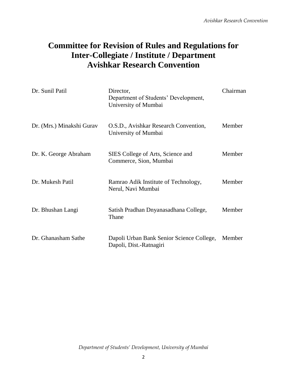# **Committee for Revision of Rules and Regulations for Inter-Collegiate / Institute / Department Avishkar Research Convention**

| Dr. Sunil Patil           | Director,<br>Department of Students' Development,<br>University of Mumbai | Chairman |
|---------------------------|---------------------------------------------------------------------------|----------|
| Dr. (Mrs.) Minakshi Gurav | O.S.D., Avishkar Research Convention,<br>University of Mumbai             | Member   |
| Dr. K. George Abraham     | SIES College of Arts, Science and<br>Commerce, Sion, Mumbai               | Member   |
| Dr. Mukesh Patil          | Ramrao Adik Institute of Technology,<br>Nerul, Navi Mumbai                | Member   |
| Dr. Bhushan Langi         | Satish Pradhan Dnyanasadhana College,<br>Thane                            | Member   |
| Dr. Ghanasham Sathe       | Dapoli Urban Bank Senior Science College,<br>Dapoli, Dist.-Ratnagiri      | Member   |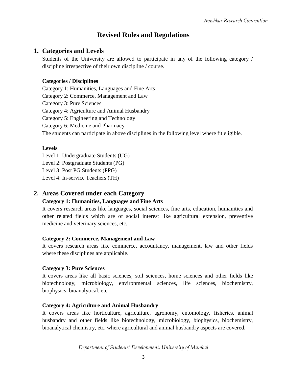# **Revised Rules and Regulations**

### **1. Categories and Levels**

Students of the University are allowed to participate in any of the following category / discipline irrespective of their own discipline / course.

#### **Categories / Disciplines**

Category 1: Humanities, Languages and Fine Arts Category 2: Commerce, Management and Law Category 3: Pure Sciences Category 4: Agriculture and Animal Husbandry Category 5: Engineering and Technology Category 6: Medicine and Pharmacy The students can participate in above disciplines in the following level where fit eligible.

#### **Levels**

Level 1: Undergraduate Students (UG) Level 2: Postgraduate Students (PG) Level 3: Post PG Students (PPG)

Level 4: In-service Teachers (TH)

#### **2. Areas Covered under each Category**

#### **Category 1: Humanities, Languages and Fine Arts**

It covers research areas like languages, social sciences, fine arts, education, humanities and other related fields which are of social interest like agricultural extension, preventive medicine and veterinary sciences, etc.

#### **Category 2: Commerce, Management and Law**

It covers research areas like commerce, accountancy, management, law and other fields where these disciplines are applicable.

#### **Category 3: Pure Sciences**

It covers areas like all basic sciences, soil sciences, home sciences and other fields like biotechnology, microbiology, environmental sciences, life sciences, biochemistry, biophysics, bioanalytical, etc.

#### **Category 4: Agriculture and Animal Husbandry**

It covers areas like horticulture, agriculture, agronomy, entomology, fisheries, animal husbandry and other fields like biotechnology, microbiology, biophysics, biochemistry, bioanalytical chemistry, etc. where agricultural and animal husbandry aspects are covered.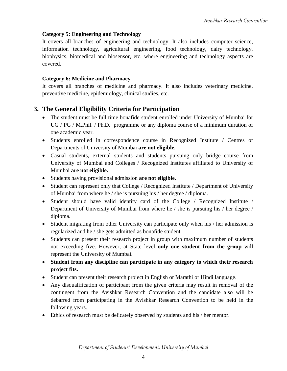#### **Category 5: Engineering and Technology**

It covers all branches of engineering and technology. It also includes computer science, information technology, agricultural engineering, food technology, dairy technology, biophysics, biomedical and biosensor, etc. where engineering and technology aspects are covered.

#### **Category 6: Medicine and Pharmacy**

It covers all branches of medicine and pharmacy. It also includes veterinary medicine, preventive medicine, epidemiology, clinical studies, etc.

### **3. The General Eligibility Criteria for Participation**

- The student must be full time bonafide student enrolled under University of Mumbai for UG / PG / M.Phil. / Ph.D. programme or any diploma course of a minimum duration of one academic year.
- Students enrolled in correspondence course in Recognized Institute / Centres or Departments of University of Mumbai **are not eligible.**
- Casual students, external students and students pursuing only bridge course from University of Mumbai and Colleges / Recognized Institutes affiliated to University of Mumbai **are not eligible.**
- Students having provisional admission **are not eligible**.
- Student can represent only that College / Recognized Institute / Department of University of Mumbai from where he / she is pursuing his / her degree / diploma.
- Student should have valid identity card of the College / Recognized Institute / Department of University of Mumbai from where he / she is pursuing his / her degree / diploma.
- Student migrating from other University can participate only when his / her admission is regularized and he / she gets admitted as bonafide student.
- Students can present their research project in group with maximum number of students not exceeding five. However, at State level **only one student from the group** will represent the University of Mumbai.
- **Student from any discipline can participate in any category to which their research project fits.**
- Student can present their research project in English or Marathi or Hindi language.
- Any disqualification of participant from the given criteria may result in removal of the contingent from the Avishkar Research Convention and the candidate also will be debarred from participating in the Avishkar Research Convention to be held in the following years.
- Ethics of research must be delicately observed by students and his / her mentor.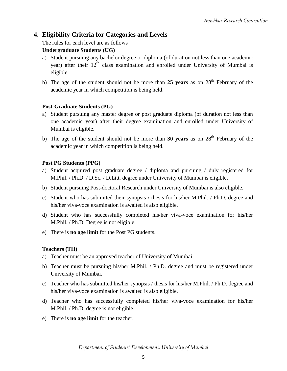### **4. Eligibility Criteria for Categories and Levels**

The rules for each level are as follows

#### **Undergraduate Students (UG)**

- a) Student pursuing any bachelor degree or diploma (of duration not less than one academic year) after their  $12<sup>th</sup>$  class examination and enrolled under University of Mumbai is eligible.
- b) The age of the student should not be more than 25 years as on 28<sup>th</sup> February of the academic year in which competition is being held.

#### **Post-Graduate Students (PG)**

- a) Student pursuing any master degree or post graduate diploma (of duration not less than one academic year) after their degree examination and enrolled under University of Mumbai is eligible.
- b) The age of the student should not be more than **30 years** as on 28<sup>th</sup> February of the academic year in which competition is being held.

#### **Post PG Students (PPG)**

- a) Student acquired post graduate degree / diploma and pursuing / duly registered for M.Phil. / Ph.D. / D.Sc. / D.Litt. degree under University of Mumbai is eligible.
- b) Student pursuing Post-doctoral Research under University of Mumbai is also eligible.
- c) Student who has submitted their synopsis / thesis for his/her M.Phil. / Ph.D. degree and his/her viva-voce examination is awaited is also eligible.
- d) Student who has successfully completed his/her viva-voce examination for his/her M.Phil. / Ph.D. Degree is not eligible.
- e) There is **no age limit** for the Post PG students.

#### **Teachers (TH)**

- a) Teacher must be an approved teacher of University of Mumbai.
- b) Teacher must be pursuing his/her M.Phil. / Ph.D. degree and must be registered under University of Mumbai.
- c) Teacher who has submitted his/her synopsis / thesis for his/her M.Phil. / Ph.D. degree and his/her viva-voce examination is awaited is also eligible.
- d) Teacher who has successfully completed his/her viva-voce examination for his/her M.Phil. / Ph.D. degree is not eligible.
- e) There is **no age limit** for the teacher.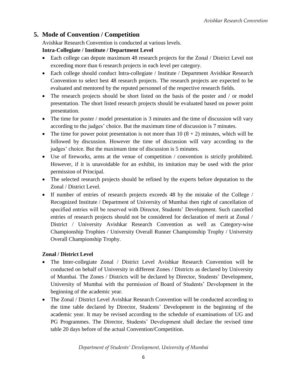# **5. Mode of Convention / Competition**

Avishkar Research Convention is conducted at various levels.

#### **Intra-Collegiate / Institute / Department Level**

- Each college can depute maximum 48 research projects for the Zonal / District Level not exceeding more than 6 research projects in each level per category.
- Each college should conduct Intra-collegiate / Institute / Department Avishkar Research Convention to select best 48 research projects. The research projects are expected to be evaluated and mentored by the reputed personnel of the respective research fields.
- The research projects should be short listed on the basis of the poster and / or model presentation. The short listed research projects should be evaluated based on power point presentation.
- The time for poster / model presentation is 3 minutes and the time of discussion will vary according to the judges' choice. But the maximum time of discussion is 7 minutes.
- The time for power point presentation is not more than 10  $(8 + 2)$  minutes, which will be followed by discussion. However the time of discussion will vary according to the judges' choice. But the maximum time of discussion is 5 minutes.
- Use of fireworks, arms at the venue of competition / convention is strictly prohibited. However, if it is unavoidable for an exhibit, its imitation may be used with the prior permission of Principal.
- The selected research projects should be refined by the experts before deputation to the Zonal / District Level.
- If number of entries of research projects exceeds 48 by the mistake of the College / Recognized Institute / Department of University of Mumbai then right of cancellation of specified entries will be reserved with Director, Students' Development. Such cancelled entries of research projects should not be considered for declaration of merit at Zonal / District / University Avishkar Research Convention as well as Category-wise Championship Trophies / University Overall Runner Championship Trophy / University Overall Championship Trophy.

#### **Zonal / District Level**

- The Inter-collegiate Zonal / District Level Avishkar Research Convention will be conducted on behalf of University in different Zones / Districts as declared by University of Mumbai. The Zones / Districts will be declared by Director, Students' Development, University of Mumbai with the permission of Board of Students' Development in the beginning of the academic year.
- The Zonal / District Level Avishkar Research Convention will be conducted according to the time table declared by Director, Students' Development in the beginning of the academic year. It may be revised according to the schedule of examinations of UG and PG Programmes. The Director, Students' Development shall declare the revised time table 20 days before of the actual Convention/Competition.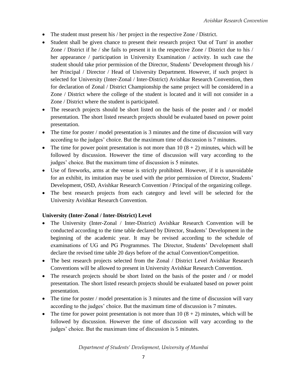- The student must present his / her project in the respective Zone / District.
- Student shall be given chance to present their research project 'Out of Turn' in another Zone / District if he / she fails to present it in the respective Zone / District due to his / her appearance / participation in University Examination / activity. In such case the student should take prior permission of the Director, Students' Development through his / her Principal / Director / Head of University Department. However, if such project is selected for University (Inter-Zonal / Inter-District) Avishkar Research Convention, then for declaration of Zonal / District Championship the same project will be considered in a Zone / District where the college of the student is located and it will not consider in a Zone / District where the student is participated.
- The research projects should be short listed on the basis of the poster and / or model presentation. The short listed research projects should be evaluated based on power point presentation.
- The time for poster / model presentation is 3 minutes and the time of discussion will vary according to the judges' choice. But the maximum time of discussion is 7 minutes.
- The time for power point presentation is not more than 10  $(8 + 2)$  minutes, which will be followed by discussion. However the time of discussion will vary according to the judges' choice. But the maximum time of discussion is 5 minutes.
- Use of fireworks, arms at the venue is strictly prohibited. However, if it is unavoidable for an exhibit, its imitation may be used with the prior permission of Director, Students' Development, OSD, Avishkar Research Convention / Principal of the organizing college.
- The best research projects from each category and level will be selected for the University Avishkar Research Convention.

#### **University (Inter-Zonal / Inter-District) Level**

- The University (Inter-Zonal / Inter-District) Avishkar Research Convention will be conducted according to the time table declared by Director, Students' Development in the beginning of the academic year. It may be revised according to the schedule of examinations of UG and PG Programmes. The Director, Students' Development shall declare the revised time table 20 days before of the actual Convention/Competition.
- The best research projects selected from the Zonal / District Level Avishkar Research Conventions will be allowed to present in University Avishkar Research Convention.
- The research projects should be short listed on the basis of the poster and / or model presentation. The short listed research projects should be evaluated based on power point presentation.
- The time for poster / model presentation is 3 minutes and the time of discussion will vary according to the judges' choice. But the maximum time of discussion is 7 minutes.
- The time for power point presentation is not more than  $10 (8 + 2)$  minutes, which will be followed by discussion. However the time of discussion will vary according to the judges' choice. But the maximum time of discussion is 5 minutes.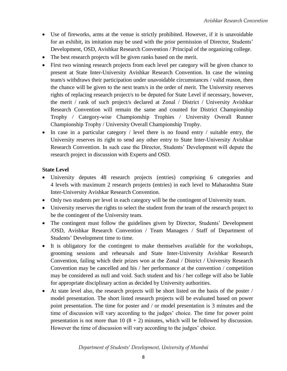- Use of fireworks, arms at the venue is strictly prohibited. However, if it is unavoidable for an exhibit, its imitation may be used with the prior permission of Director, Students' Development, OSD, Avishkar Research Convention / Principal of the organizing college.
- The best research projects will be given ranks based on the merit.
- First two winning research projects from each level per category will be given chance to present at State Inter-University Avishkar Research Convention. In case the winning team/s withdraws their participation under unavoidable circumstances / valid reason, then the chance will be given to the next team/s in the order of merit. The University reserves rights of replacing research project/s to be deputed for State Level if necessary, however, the merit / rank of such project/s declared at Zonal / District / University Avishkar Research Convention will remain the same and counted for District Championship Trophy / Category-wise Championship Trophies / University Overall Runner Championship Trophy / University Overall Championship Trophy.
- $\bullet$  In case in a particular category / level there is no found entry / suitable entry, the University reserves its right to send any other entry to State Inter-University Avishkar Research Convention. In such case the Director, Students' Development will depute the research project in discussion with Experts and OSD.

#### **State Level**

- University deputes 48 research projects (entries) comprising 6 categories and 4 levels with maximum 2 research projects (entries) in each level to Maharashtra State Inter-University Avishkar Research Convention.
- Only two students per level in each category will be the contingent of University team.
- University reserves the rights to select the student from the team of the research project to be the contingent of the University team.
- The contingent must follow the guidelines given by Director, Students' Development /OSD, Avishkar Research Convention / Team Managers / Staff of Department of Students' Development time to time.
- It is obligatory for the contingent to make themselves available for the workshops, grooming sessions and rehearsals and State Inter-University Avishkar Research Convention, failing which their prizes won at the Zonal / District / University Research Convention may be cancelled and his / her performance at the convention / competition may be considered as null and void. Such student and his / her college will also be liable for appropriate disciplinary action as decided by University authorities.
- At state level also, the research projects will be short listed on the basis of the poster / model presentation. The short listed research projects will be evaluated based on power point presentation. The time for poster and / or model presentation is 3 minutes and the time of discussion will vary according to the judges' choice. The time for power point presentation is not more than 10  $(8 + 2)$  minutes, which will be followed by discussion. However the time of discussion will vary according to the judges' choice.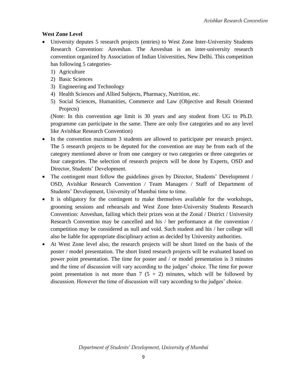#### **West Zone Level**

- University deputes 5 research projects (entries) to West Zone Inter-University Students Research Convention: Anveshan. The Anveshan is an inter-university research convention organized by Association of Indian Universities, New Delhi. This competition has following 5 categories-
	- 1) Agriculture
	- 2) Basic Sciences
	- 3) Engineering and Technology
	- 4) Health Sciences and Allied Subjects, Pharmacy, Nutrition, etc.
	- 5) Social Sciences, Humanities, Commerce and Law (Objective and Result Oriented Projects)

(Note: In this convention age limit is 30 years and any student from UG to Ph.D. programme can participate in the same. There are only five categories and no any level like Avishkar Research Convention)

- In the convention maximum 3 students are allowed to participate per research project. The 5 research projects to be deputed for the convention are may be from each of the category mentioned above or from one category or two categories or three categories or four categories. The selection of research projects will be done by Experts, OSD and Director, Students' Development.
- The contingent must follow the guidelines given by Director, Students' Development / OSD, Avishkar Research Convention / Team Managers / Staff of Department of Students' Development, University of Mumbai time to time.
- It is obligatory for the contingent to make themselves available for the workshops, grooming sessions and rehearsals and West Zone Inter-University Students Research Convention: Anveshan, failing which their prizes won at the Zonal / District / University Research Convention may be cancelled and his / her performance at the convention / competition may be considered as null and void. Such student and his / her college will also be liable for appropriate disciplinary action as decided by University authorities.
- At West Zone level also, the research projects will be short listed on the basis of the poster / model presentation. The short listed research projects will be evaluated based on power point presentation. The time for poster and / or model presentation is 3 minutes and the time of discussion will vary according to the judges' choice. The time for power point presentation is not more than  $7(5 + 2)$  minutes, which will be followed by discussion. However the time of discussion will vary according to the judges' choice.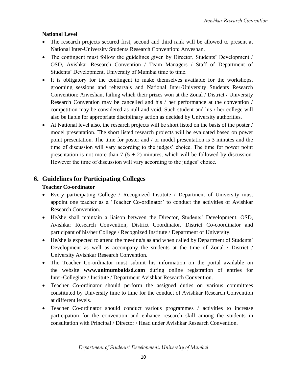#### **National Level**

- The research projects secured first, second and third rank will be allowed to present at National Inter-University Students Research Convention: Anveshan.
- The contingent must follow the guidelines given by Director, Students' Development / OSD, Avishkar Research Convention / Team Managers / Staff of Department of Students' Development, University of Mumbai time to time.
- It is obligatory for the contingent to make themselves available for the workshops, grooming sessions and rehearsals and National Inter-University Students Research Convention: Anveshan, failing which their prizes won at the Zonal / District / University Research Convention may be cancelled and his / her performance at the convention / competition may be considered as null and void. Such student and his / her college will also be liable for appropriate disciplinary action as decided by University authorities.
- At National level also, the research projects will be short listed on the basis of the poster / model presentation. The short listed research projects will be evaluated based on power point presentation. The time for poster and / or model presentation is 3 minutes and the time of discussion will vary according to the judges' choice. The time for power point presentation is not more than  $7(5 + 2)$  minutes, which will be followed by discussion. However the time of discussion will vary according to the judges' choice.

### **6. Guidelines for Participating Colleges**

#### **Teacher Co-ordinator**

- Every participating College / Recognized Institute / Department of University must appoint one teacher as a 'Teacher Co-ordinator' to conduct the activities of Avishkar Research Convention.
- He/she shall maintain a liaison between the Director, Students' Development, OSD, Avishkar Research Convention, District Coordinator, District Co-coordinator and participant of his/her College / Recognized Institute / Department of University.
- He/she is expected to attend the meeting/s as and when called by Department of Students' Development as well as accompany the students at the time of Zonal / District / University Avishkar Research Convention.
- The Teacher Co-ordinator must submit his information on the portal available on the website **www.unimumbaidsd.com** during online registration of entries for Inter-Collegiate / Institute / Department Avishkar Research Convention.
- Teacher Co-ordinator should perform the assigned duties on various committees constituted by University time to time for the conduct of Avishkar Research Convention at different levels.
- Teacher Co-ordinator should conduct various programmes / activities to increase participation for the convention and enhance research skill among the students in consultation with Principal / Director / Head under Avishkar Research Convention.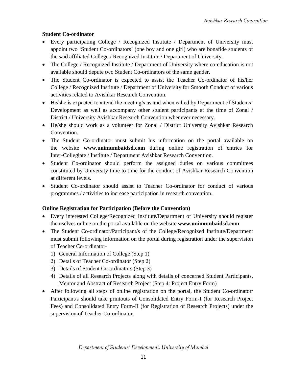#### **Student Co-ordinator**

- Every participating College / Recognized Institute / Department of University must appoint two 'Student Co-ordinators' (one boy and one girl) who are bonafide students of the said affiliated College / Recognized Institute / Department of University.
- The College / Recognized Institute / Department of University where co-education is not available should depute two Student Co-ordinators of the same gender.
- The Student Co-ordinator is expected to assist the Teacher Co-ordinator of his/her College / Recognized Institute / Department of University for Smooth Conduct of various activities related to Avishkar Research Convention.
- He/she is expected to attend the meeting/s as and when called by Department of Students' Development as well as accompany other student participants at the time of Zonal / District / University Avishkar Research Convention whenever necessary.
- He/she should work as a volunteer for Zonal / District University Avishkar Research Convention.
- The Student Co-ordinator must submit his information on the portal available on the website **www.unimumbaidsd.com** during online registration of entries for Inter-Collegiate / Institute / Department Avishkar Research Convention.
- Student Co-ordinator should perform the assigned duties on various committees constituted by University time to time for the conduct of Avishkar Research Convention at different levels.
- Student Co-ordinator should assist to Teacher Co-ordinator for conduct of various programmes / activities to increase participation in research convention.

#### **Online Registration for Participation (Before the Convention)**

- Every interested College/Recognized Institute/Department of University should register themselves online on the portal available on the website **www.unimumbaidsd.com**
- The Student Co-ordinator/Participant/s of the College/Recognized Institute/Department must submit following information on the portal during registration under the supervision of Teacher Co-ordinator-
	- 1) General Information of College (Step 1)
	- 2) Details of Teacher Co-ordinator (Step 2)
	- 3) Details of Student Co-ordinators (Step 3)
	- 4) Details of all Research Projects along with details of concerned Student Participants, Mentor and Abstract of Research Project (Step 4: Project Entry Form)
- After following all steps of online registration on the portal, the Student Co-ordinator/ Participant/s should take printouts of Consolidated Entry Form-I (for Research Project Fees) and Consolidated Entry Form-II (for Registration of Research Projects) under the supervision of Teacher Co-ordinator.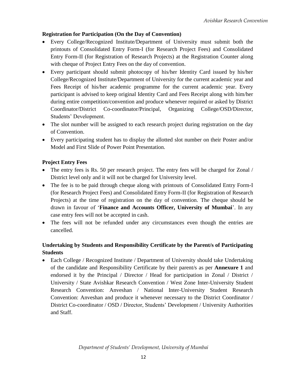#### **Registration for Participation (On the Day of Convention)**

- Every College/Recognized Institute/Department of University must submit both the printouts of Consolidated Entry Form-I (for Research Project Fees) and Consolidated Entry Form-II (for Registration of Research Projects) at the Registration Counter along with cheque of Project Entry Fees on the day of convention.
- Every participant should submit photocopy of his/her Identity Card issued by his/her College/Recognized Institute/Department of University for the current academic year and Fees Receipt of his/her academic programme for the current academic year. Every participant is advised to keep original Identity Card and Fees Receipt along with him/her during entire competition/convention and produce whenever required or asked by District Coordinator/District Co-coordinator/Principal, Organizing College/OSD/Director, Students' Development.
- The slot number will be assigned to each research project during registration on the day of Convention.
- Every participating student has to display the allotted slot number on their Poster and/or Model and First Slide of Power Point Presentation.

#### **Project Entry Fees**

- The entry fees is Rs. 50 per research project. The entry fees will be charged for Zonal / District level only and it will not be charged for University level.
- The fee is to be paid through cheque along with printouts of Consolidated Entry Form-I (for Research Project Fees) and Consolidated Entry Form-II (for Registration of Research Projects) at the time of registration on the day of convention. The cheque should be drawn in favour of '**Finance and Accounts Officer, University of Mumbai**'. In any case entry fees will not be accepted in cash.
- The fees will not be refunded under any circumstances even though the entries are cancelled.

### **Undertaking by Students and Responsibility Certificate by the Parent/s of Participating Students**

• Each College / Recognized Institute / Department of University should take Undertaking of the candidate and Responsibility Certificate by their parent/s as per **Annexure 1** and endorsed it by the Principal / Director / Head for participation in Zonal / District / University / State Avishkar Research Convention / West Zone Inter-University Student Research Convention: Anveshan / National Inter-University Student Research Convention: Anveshan and produce it whenever necessary to the District Coordinator / District Co-coordinator / OSD / Director, Students' Development / University Authorities and Staff.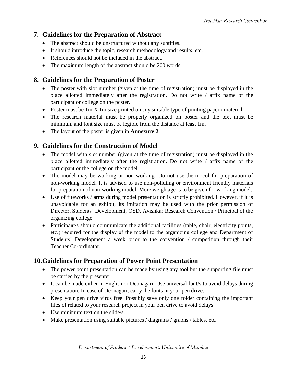### **7. Guidelines for the Preparation of Abstract**

- The abstract should be unstructured without any subtitles.
- It should introduce the topic, research methodology and results, etc.
- References should not be included in the abstract.
- The maximum length of the abstract should be 200 words.

### **8. Guidelines for the Preparation of Poster**

- The poster with slot number (given at the time of registration) must be displayed in the place allotted immediately after the registration. Do not write / affix name of the participant or college on the poster.
- Poster must be 1m X 1m size printed on any suitable type of printing paper / material.
- The research material must be properly organized on poster and the text must be minimum and font size must be legible from the distance at least 1m.
- The layout of the poster is given in **Annexure 2**.

### **9. Guidelines for the Construction of Model**

- The model with slot number (given at the time of registration) must be displayed in the place allotted immediately after the registration. Do not write / affix name of the participant or the college on the model.
- The model may be working or non-working. Do not use thermocol for preparation of non-working model. It is advised to use non-polluting or environment friendly materials for preparation of non-working model. More weightage is to be given for working model.
- Use of fireworks / arms during model presentation is strictly prohibited. However, if it is unavoidable for an exhibit, its imitation may be used with the prior permission of Director, Students' Development, OSD, Avishkar Research Convention / Principal of the organizing college.
- Participant/s should communicate the additional facilities (table, chair, electricity points, etc.) required for the display of the model to the organizing college and Department of Students' Development a week prior to the convention / competition through their Teacher Co-ordinator.

# **10.Guidelines for Preparation of Power Point Presentation**

- The power point presentation can be made by using any tool but the supporting file must be carried by the presenter.
- It can be made either in English or Deonagari. Use universal font/s to avoid delays during presentation. In case of Deonagari, carry the fonts in your pen drive.
- Keep your pen drive virus free. Possibly save only one folder containing the important files of related to your research project in your pen drive to avoid delays.
- Use minimum text on the slide/s.
- Make presentation using suitable pictures / diagrams / graphs / tables, etc.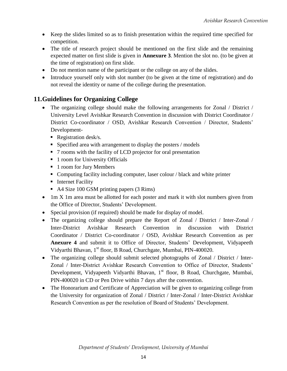- Keep the slides limited so as to finish presentation within the required time specified for competition.
- The title of research project should be mentioned on the first slide and the remaining expected matter on first slide is given in **Annexure 3**. Mention the slot no. (to be given at the time of registration) on first slide.
- Do not mention name of the participant or the college on any of the slides.
- Introduce yourself only with slot number (to be given at the time of registration) and do not reveal the identity or name of the college during the presentation.

# **11.Guidelines for Organizing College**

- The organizing college should make the following arrangements for Zonal / District / University Level Avishkar Research Convention in discussion with District Coordinator / District Co-coordinator / OSD, Avishkar Research Convention / Director, Students' Development-
	- Registration desk/s.
	- $\blacksquare$  Specified area with arrangement to display the posters / models
	- 7 rooms with the facility of LCD projector for oral presentation
	- 1 room for University Officials
	- 1 room for Jury Members
	- Computing facility including computer, laser colour / black and white printer
	- **Internet Facility**
	- A4 Size 100 GSM printing papers (3 Rims)
- 1m X 1m area must be allotted for each poster and mark it with slot numbers given from the Office of Director, Students' Development.
- Special provision (if required) should be made for display of model.
- The organizing college should prepare the Report of Zonal / District / Inter-Zonal / Inter-District Avishkar Research Convention in discussion with District Coordinator / District Co-coordinator / OSD, Avishkar Research Convention as per **Anexure 4** and submit it to Office of Director, Students' Development, Vidyapeeth Vidyarthi Bhavan, 1<sup>st</sup> floor, B Road, Churchgate, Mumbai, PIN-400020.
- The organizing college should submit selected photographs of Zonal / District / Inter-Zonal / Inter-District Avishkar Research Convention to Office of Director, Students' Development, Vidyapeeth Vidyarthi Bhavan, 1<sup>st</sup> floor, B Road, Churchgate, Mumbai, PIN-400020 in CD or Pen Drive within 7 days after the convention.
- The Honorarium and Certificate of Appreciation will be given to organizing college from the University for organization of Zonal / District / Inter-Zonal / Inter-District Avishkar Research Convention as per the resolution of Board of Students' Development.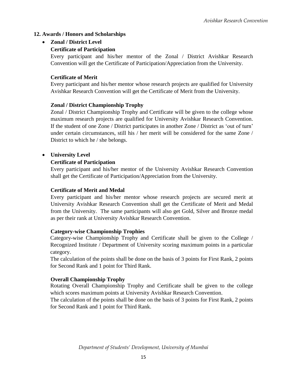#### **12. Awards / Honors and Scholarships**

#### **Zonal / District Level**

#### **Certificate of Participation**

Every participant and his/her mentor of the Zonal / District Avishkar Research Convention will get the Certificate of Participation/Appreciation from the University.

#### **Certificate of Merit**

Every participant and his/her mentor whose research projects are qualified for University Avishkar Research Convention will get the Certificate of Merit from the University.

#### **Zonal / District Championship Trophy**

Zonal / District Championship Trophy and Certificate will be given to the college whose maximum research projects are qualified for University Avishkar Research Convention. If the student of one Zone / District participates in another Zone / District as 'out of turn' under certain circumstances, still his / her merit will be considered for the same Zone / District to which he / she belongs.

#### **University Level**

#### **Certificate of Participation**

Every participant and his/her mentor of the University Avishkar Research Convention shall get the Certificate of Participation/Appreciation from the University.

#### **Certificate of Merit and Medal**

Every participant and his/her mentor whose research projects are secured merit at University Avishkar Research Convention shall get the Certificate of Merit and Medal from the University. The same participants will also get Gold, Silver and Bronze medal as per their rank at University Avishkar Research Convention.

#### **Category-wise Championship Trophies**

Category-wise Championship Trophy and Certificate shall be given to the College / Recognized Institute / Department of University scoring maximum points in a particular category.

The calculation of the points shall be done on the basis of 3 points for First Rank, 2 points for Second Rank and 1 point for Third Rank.

#### **Overall Championship Trophy**

Rotating Overall Championship Trophy and Certificate shall be given to the college which scores maximum points at University Avishkar Research Convention.

The calculation of the points shall be done on the basis of 3 points for First Rank, 2 points for Second Rank and 1 point for Third Rank.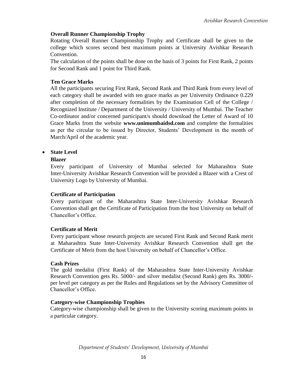#### **Overall Runner Championship Trophy**

Rotating Overall Runner Championship Trophy and Certificate shall be given to the college which scores second best maximum points at University Avishkar Research Convention.

The calculation of the points shall be done on the basis of 3 points for First Rank, 2 points for Second Rank and 1 point for Third Rank.

#### **Ten Grace Marks**

All the participants securing First Rank, Second Rank and Third Rank from every level of each category shall be awarded with ten grace marks as per University Ordinance 0.229 after completion of the necessary formalities by the Examination Cell of the College / Recognized Institute / Department of the University / University of Mumbai. The Teacher Co-ordinator and/or concerned participant/s should download the Letter of Award of 10 Grace Marks from the website **www.unimumbaidsd.com** and complete the formalities as per the circular to be issued by Director, Students' Development in the month of March/April of the academic year.

#### **State Level**

#### **Blazer**

Every participant of University of Mumbai selected for Maharashtra State Inter-University Avishkar Research Convention will be provided a Blazer with a Crest of University Logo by University of Mumbai.

#### **Certificate of Participation**

Every participant of the Maharashtra State Inter-University Avishkar Research Convention shall get the Certificate of Participation from the host University on behalf of Chancellor's Office.

#### **Certificate of Merit**

Every participant whose research projects are secured First Rank and Second Rank merit at Maharashtra State Inter-University Avishkar Research Convention shall get the Certificate of Merit from the host University on behalf of Chancellor's Office.

#### **Cash Prizes**

The gold medalist (First Rank) of the Maharashtra State Inter-University Avishkar Research Convention gets Rs. 5000/- and silver medalist (Second Rank) gets Rs. 3000/ per level per category as per the Rules and Regulations set by the Advisory Committee of Chancellor's Office.

#### **Category-wise Championship Trophies**

Category-wise championship shall be given to the University scoring maximum points in a particular category.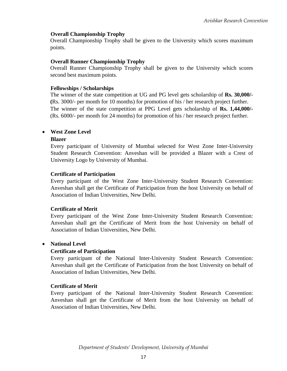#### **Overall Championship Trophy**

Overall Championship Trophy shall be given to the University which scores maximum points.

#### **Overall Runner Championship Trophy**

Overall Runner Championship Trophy shall be given to the University which scores second best maximum points.

#### **Fellowships / Scholarships**

The winner of the state competition at UG and PG level gets scholarship of **Rs. 30,000/- (**Rs. 3000/- per month for 10 months) for promotion of his / her research project further. The winner of the state competition at PPG Level gets scholarship of **Rs. 1,44,000/-** (Rs. 6000/- per month for 24 months) for promotion of his / her research project further.

#### **West Zone Level**

#### **Blazer**

Every participant of University of Mumbai selected for West Zone Inter-University Student Research Convention: Anveshan will be provided a Blazer with a Crest of University Logo by University of Mumbai.

#### **Certificate of Participation**

Every participant of the West Zone Inter-University Student Research Convention: Anveshan shall get the Certificate of Participation from the host University on behalf of Association of Indian Universities, New Delhi.

#### **Certificate of Merit**

Every participant of the West Zone Inter-University Student Research Convention: Anveshan shall get the Certificate of Merit from the host University on behalf of Association of Indian Universities, New Delhi.

#### **National Level**

#### **Certificate of Participation**

Every participant of the National Inter-University Student Research Convention: Anveshan shall get the Certificate of Participation from the host University on behalf of Association of Indian Universities, New Delhi.

#### **Certificate of Merit**

Every participant of the National Inter-University Student Research Convention: Anveshan shall get the Certificate of Merit from the host University on behalf of Association of Indian Universities, New Delhi.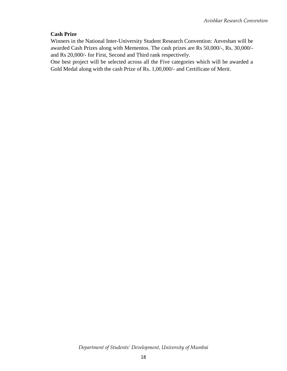#### **Cash Prize**

Winners in the National Inter-University Student Research Convention: Anveshan will be awarded Cash Prizes along with Mementos. The cash prizes are Rs 50,000/-, Rs. 30,000/ and Rs 20,000/- for First, Second and Third rank respectively.

One best project will be selected across all the Five categories which will be awarded a Gold Medal along with the cash Prize of Rs. 1,00,000/- and Certificate of Merit.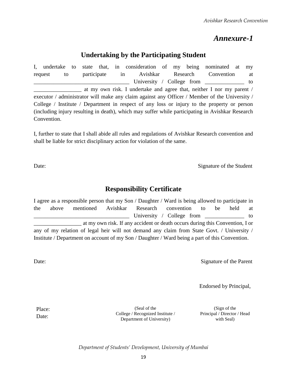# *Annexure-1*

# **Undertaking by the Participating Student**

I, undertake to state that, in consideration of my being nominated at my request to participate in Avishkar Research Convention at University / College from to at my own risk. I undertake and agree that, neither I nor my parent / executor / administrator will make any claim against any Officer / Member of the University / College / Institute / Department in respect of any loss or injury to the property or person (including injury resulting in death), which may suffer while participating in Avishkar Research Convention.

I, further to state that I shall abide all rules and regulations of Avishkar Research convention and shall be liable for strict disciplinary action for violation of the same.

Date: Signature of the Student

# **Responsibility Certificate**

I agree as a responsible person that my Son / Daughter / Ward is being allowed to participate in the above mentioned Avishkar Research convention to be held at University / College from \_\_\_\_\_\_\_\_\_\_\_\_ to \_\_\_\_\_\_\_\_\_\_\_\_\_\_\_\_\_ at my own risk. If any accident or death occurs during this Convention, I or any of my relation of legal heir will not demand any claim from State Govt. / University / Institute / Department on account of my Son / Daughter / Ward being a part of this Convention.

Date: Signature of the Parent

Endorsed by Principal,

Place: Date:

(Seal of the College / Recognized Institute / Department of University)

(Sign of the Principal / Director / Head with Seal)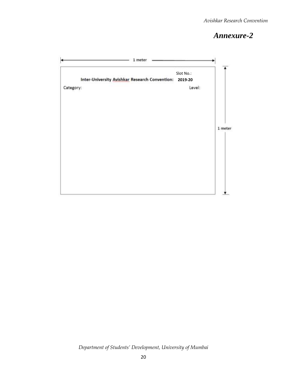# *Annexure-2*

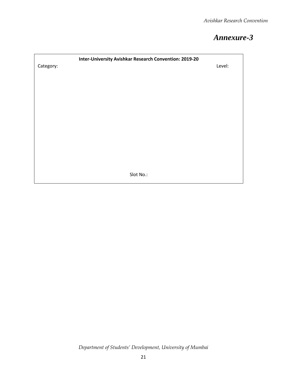# *Annexure-3*

| Inter-University Avishkar Research Convention: 2019-20 |        |
|--------------------------------------------------------|--------|
| Category:                                              | Level: |
|                                                        |        |
|                                                        |        |
|                                                        |        |
|                                                        |        |
|                                                        |        |
|                                                        |        |
|                                                        |        |
|                                                        |        |
|                                                        |        |
|                                                        |        |
|                                                        |        |
|                                                        |        |
| Slot No.:                                              |        |
|                                                        |        |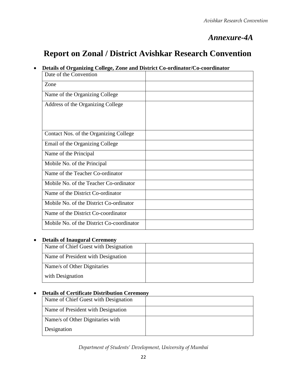# *Annexure-4A*

# **Report on Zonal / District Avishkar Research Convention**

#### **Details of Organizing College, Zone and District Co-ordinator/Co-coordinator**

| Date of the Convention                    |  |
|-------------------------------------------|--|
| Zone                                      |  |
| Name of the Organizing College            |  |
| Address of the Organizing College         |  |
| Contact Nos. of the Organizing College    |  |
| Email of the Organizing College           |  |
| Name of the Principal                     |  |
| Mobile No. of the Principal               |  |
| Name of the Teacher Co-ordinator          |  |
| Mobile No. of the Teacher Co-ordinator    |  |
| Name of the District Co-ordinator         |  |
| Mobile No. of the District Co-ordinator   |  |
| Name of the District Co-coordinator       |  |
| Mobile No. of the District Co-coordinator |  |

#### **Details of Inaugural Ceremony**

| Name of Chief Guest with Designation |  |
|--------------------------------------|--|
| Name of President with Designation   |  |
| Name/s of Other Dignitaries          |  |
| with Designation                     |  |

#### **Details of Certificate Distribution Ceremony**

| Name of Chief Guest with Designation |  |
|--------------------------------------|--|
| Name of President with Designation   |  |
| Name/s of Other Dignitaries with     |  |
| Designation                          |  |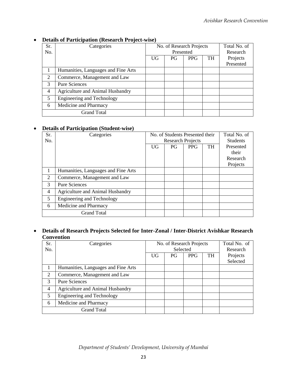| Sr. | Categories                              | No. of Research Projects |           |            | Total No. of |           |
|-----|-----------------------------------------|--------------------------|-----------|------------|--------------|-----------|
| No. |                                         |                          | Presented |            |              | Research  |
|     |                                         | UG                       | PG.       | <b>PPG</b> | TH           | Projects  |
|     |                                         |                          |           |            |              | Presented |
|     | Humanities, Languages and Fine Arts     |                          |           |            |              |           |
| 2   | Commerce, Management and Law            |                          |           |            |              |           |
| 3   | <b>Pure Sciences</b>                    |                          |           |            |              |           |
| 4   | <b>Agriculture and Animal Husbandry</b> |                          |           |            |              |           |
| 5   | <b>Engineering and Technology</b>       |                          |           |            |              |           |
| 6   | Medicine and Pharmacy                   |                          |           |            |              |           |
|     | <b>Grand Total</b>                      |                          |           |            |              |           |

#### **Details of Participation (Research Project-wise)**

#### **Details of Participation (Student-wise)**

| Sr. | Categories                              | No. of Students Presented their |           |            | Total No. of    |           |
|-----|-----------------------------------------|---------------------------------|-----------|------------|-----------------|-----------|
| No. |                                         | <b>Research Projects</b>        |           |            | <b>Students</b> |           |
|     |                                         | <b>UG</b>                       | <b>PG</b> | <b>PPG</b> | <b>TH</b>       | Presented |
|     |                                         |                                 |           |            |                 | their     |
|     |                                         |                                 |           |            |                 | Research  |
|     |                                         |                                 |           |            |                 | Projects  |
|     | Humanities, Languages and Fine Arts     |                                 |           |            |                 |           |
| 2   | Commerce, Management and Law            |                                 |           |            |                 |           |
| 3   | <b>Pure Sciences</b>                    |                                 |           |            |                 |           |
| 4   | <b>Agriculture and Animal Husbandry</b> |                                 |           |            |                 |           |
| 5   | <b>Engineering and Technology</b>       |                                 |           |            |                 |           |
| 6   | Medicine and Pharmacy                   |                                 |           |            |                 |           |
|     | <b>Grand Total</b>                      |                                 |           |            |                 |           |

#### **Details of Research Projects Selected for Inter-Zonal / Inter-District Avishkar Research Convention**

| Sr. | Categories                              | No. of Research Projects |          |            | Total No. of |          |
|-----|-----------------------------------------|--------------------------|----------|------------|--------------|----------|
| No. |                                         |                          | Selected |            |              | Research |
|     |                                         | <b>UG</b>                | PG       | <b>PPG</b> | <b>TH</b>    | Projects |
|     |                                         |                          |          |            |              | Selected |
|     | Humanities, Languages and Fine Arts     |                          |          |            |              |          |
| 2   | Commerce, Management and Law            |                          |          |            |              |          |
| 3   | <b>Pure Sciences</b>                    |                          |          |            |              |          |
| 4   | <b>Agriculture and Animal Husbandry</b> |                          |          |            |              |          |
| 5   | <b>Engineering and Technology</b>       |                          |          |            |              |          |
| 6   | Medicine and Pharmacy                   |                          |          |            |              |          |
|     | <b>Grand Total</b>                      |                          |          |            |              |          |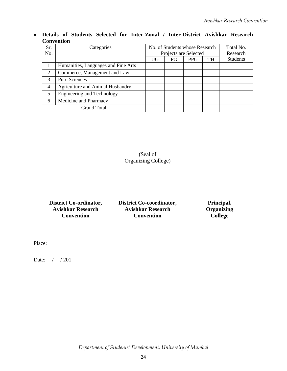**Details of Students Selected for Inter-Zonal / Inter-District Avishkar Research Convention** 

| Sr. | Categories                              | No. of Students whose Research |                       |            | Total No. |                 |
|-----|-----------------------------------------|--------------------------------|-----------------------|------------|-----------|-----------------|
| No. |                                         |                                | Projects are Selected |            |           | Research        |
|     |                                         | <b>UG</b>                      | PG                    | <b>PPG</b> | <b>TH</b> | <b>Students</b> |
|     | Humanities, Languages and Fine Arts     |                                |                       |            |           |                 |
| 2   | Commerce, Management and Law            |                                |                       |            |           |                 |
| 3   | <b>Pure Sciences</b>                    |                                |                       |            |           |                 |
| 4   | <b>Agriculture and Animal Husbandry</b> |                                |                       |            |           |                 |
| 5   | <b>Engineering and Technology</b>       |                                |                       |            |           |                 |
| 6   | Medicine and Pharmacy                   |                                |                       |            |           |                 |
|     | <b>Grand Total</b>                      |                                |                       |            |           |                 |

(Seal of Organizing College)

| <b>District Co-ordinator,</b> |
|-------------------------------|
| <b>Avishkar Research</b>      |
| Convention                    |

**District Co-coordinator, Avishkar Research Convention**

**Principal, Organizing College**

Place:

Date: / / 201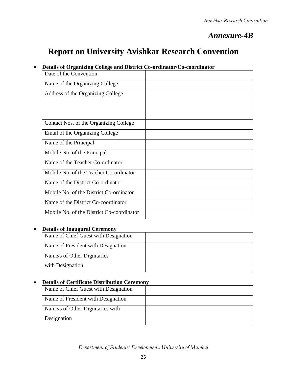# *Annexure-4B*

# **Report on University Avishkar Research Convention**

### **Details of Organizing College and District Co-ordinator/Co-coordinator**

| Date of the Convention                    |  |
|-------------------------------------------|--|
| Name of the Organizing College            |  |
| Address of the Organizing College         |  |
|                                           |  |
|                                           |  |
| Contact Nos. of the Organizing College    |  |
| Email of the Organizing College           |  |
| Name of the Principal                     |  |
| Mobile No. of the Principal               |  |
| Name of the Teacher Co-ordinator          |  |
| Mobile No. of the Teacher Co-ordinator    |  |
| Name of the District Co-ordinator         |  |
| Mobile No. of the District Co-ordinator   |  |
| Name of the District Co-coordinator       |  |
| Mobile No. of the District Co-coordinator |  |

#### **Details of Inaugural Ceremony**

| Name of Chief Guest with Designation |  |
|--------------------------------------|--|
| Name of President with Designation   |  |
| Name/s of Other Dignitaries          |  |
| with Designation                     |  |

#### **Details of Certificate Distribution Ceremony**

| Name of Chief Guest with Designation |  |
|--------------------------------------|--|
| Name of President with Designation   |  |
| Name/s of Other Dignitaries with     |  |
| Designation                          |  |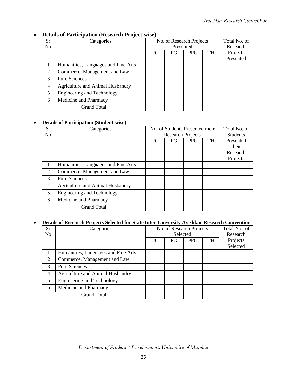| Sr. | Categories                              | No. of Research Projects |     |            |           | Total No. of |
|-----|-----------------------------------------|--------------------------|-----|------------|-----------|--------------|
| No. |                                         | Presented                |     |            |           | Research     |
|     |                                         | <b>UG</b>                | PG. | <b>PPG</b> | <b>TH</b> | Projects     |
|     |                                         |                          |     |            |           | Presented    |
|     | Humanities, Languages and Fine Arts     |                          |     |            |           |              |
| 2   | Commerce, Management and Law            |                          |     |            |           |              |
| 3   | <b>Pure Sciences</b>                    |                          |     |            |           |              |
| 4   | <b>Agriculture and Animal Husbandry</b> |                          |     |            |           |              |
| 5   | Engineering and Technology              |                          |     |            |           |              |
| 6   | Medicine and Pharmacy                   |                          |     |            |           |              |
|     | <b>Grand Total</b>                      |                          |     |            |           |              |

### **Details of Participation (Research Project-wise)**

#### **Details of Participation (Student-wise)**

| Sr. | Categories                              |                          | No. of Students Presented their | Total No. of |           |                 |
|-----|-----------------------------------------|--------------------------|---------------------------------|--------------|-----------|-----------------|
| No. |                                         | <b>Research Projects</b> |                                 |              |           | <b>Students</b> |
|     |                                         | <b>UG</b>                | PG                              | <b>PPG</b>   | <b>TH</b> | Presented       |
|     |                                         |                          |                                 |              |           | their           |
|     |                                         |                          |                                 |              |           | Research        |
|     |                                         |                          |                                 |              |           | Projects        |
|     | Humanities, Languages and Fine Arts     |                          |                                 |              |           |                 |
| 2   | Commerce, Management and Law            |                          |                                 |              |           |                 |
| 3   | <b>Pure Sciences</b>                    |                          |                                 |              |           |                 |
| 4   | <b>Agriculture and Animal Husbandry</b> |                          |                                 |              |           |                 |
| 5   | <b>Engineering and Technology</b>       |                          |                                 |              |           |                 |
| 6   | Medicine and Pharmacy                   |                          |                                 |              |           |                 |
|     | <b>Grand Total</b>                      |                          |                                 |              |           |                 |

#### **Details of Research Projects Selected for State Inter-University Avishkar Research Convention**

| Sr. | Categories                          | No. of Research Projects |    |            |           | Total No. of |
|-----|-------------------------------------|--------------------------|----|------------|-----------|--------------|
| No. |                                     | Selected                 |    |            |           | Research     |
|     |                                     | UG                       | PG | <b>PPG</b> | <b>TH</b> | Projects     |
|     |                                     |                          |    |            |           | Selected     |
|     | Humanities, Languages and Fine Arts |                          |    |            |           |              |
| 2   | Commerce, Management and Law        |                          |    |            |           |              |
| 3   | <b>Pure Sciences</b>                |                          |    |            |           |              |
| 4   | Agriculture and Animal Husbandry    |                          |    |            |           |              |
| 5   | <b>Engineering and Technology</b>   |                          |    |            |           |              |
| 6   | Medicine and Pharmacy               |                          |    |            |           |              |
|     | <b>Grand Total</b>                  |                          |    |            |           |              |